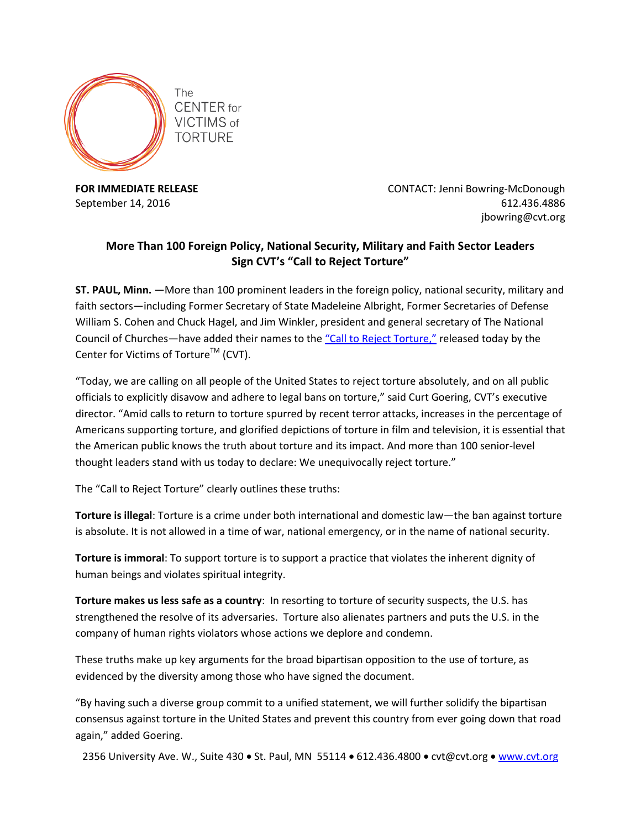

**FOR IMMEDIATE RELEASE CONTACT: Jenni Bowring-McDonough** September 14, 2016 **612.436.4886** jbowring@cvt.org

## **More Than 100 Foreign Policy, National Security, Military and Faith Sector Leaders Sign CVT's "Call to Reject Torture"**

**ST. PAUL, Minn.** —More than 100 prominent leaders in the foreign policy, national security, military and faith sectors—including Former Secretary of State Madeleine Albright, Former Secretaries of Defense William S. Cohen and Chuck Hagel, and Jim Winkler, president and general secretary of The National Council of Churches—have added their names to the "[Call to Reject Torture,](http://www.cvt.org/declaration)" released today by the Center for Victims of Torture<sup>TM</sup> (CVT).

"Today, we are calling on all people of the United States to reject torture absolutely, and on all public officials to explicitly disavow and adhere to legal bans on torture," said Curt Goering, CVT's executive director. "Amid calls to return to torture spurred by recent terror attacks, increases in the percentage of Americans supporting torture, and glorified depictions of torture in film and television, it is essential that the American public knows the truth about torture and its impact. And more than 100 senior-level thought leaders stand with us today to declare: We unequivocally reject torture."

The "Call to Reject Torture" clearly outlines these truths:

**Torture is illegal**: Torture is a crime under both international and domestic law—the ban against torture is absolute. It is not allowed in a time of war, national emergency, or in the name of national security.

**Torture is immoral**: To support torture is to support a practice that violates the inherent dignity of human beings and violates spiritual integrity.

**Torture makes us less safe as a country**: In resorting to torture of security suspects, the U.S. has strengthened the resolve of its adversaries. Torture also alienates partners and puts the U.S. in the company of human rights violators whose actions we deplore and condemn.

These truths make up key arguments for the broad bipartisan opposition to the use of torture, as evidenced by the diversity among those who have signed the document.

"By having such a diverse group commit to a unified statement, we will further solidify the bipartisan consensus against torture in the United States and prevent this country from ever going down that road again," added Goering.

2356 University Ave. W., Suite 430  $\bullet$  St. Paul, MN 55114  $\bullet$  612.436.4800  $\bullet$  cvt@cvt.org  $\bullet$  [www.cvt.org](http://www.cvt.org/)